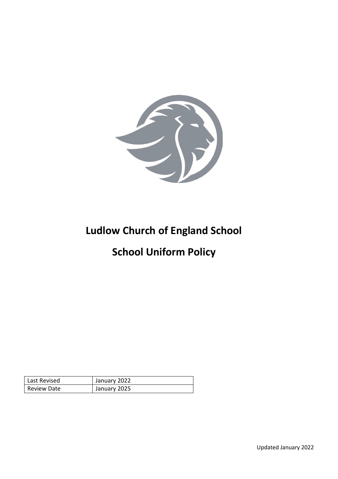

# **Ludlow Church of England School**

# **School Uniform Policy**

| Last Revised       | January 2022 |
|--------------------|--------------|
| <b>Review Date</b> | January 2025 |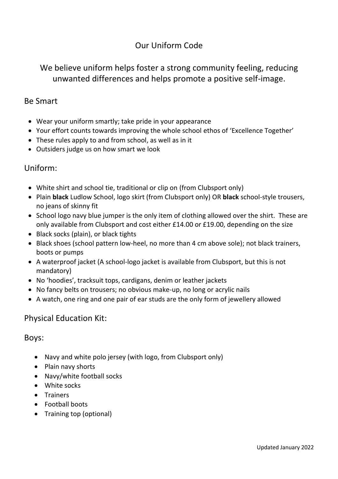# Our Uniform Code

# We believe uniform helps foster a strong community feeling, reducing unwanted differences and helps promote a positive self-image.

### Be Smart

- Wear your uniform smartly; take pride in your appearance
- Your effort counts towards improving the whole school ethos of 'Excellence Together'
- These rules apply to and from school, as well as in it
- Outsiders judge us on how smart we look

## Uniform:

- White shirt and school tie, traditional or clip on (from Clubsport only)
- Plain **black** Ludlow School, logo skirt (from Clubsport only) OR **black** school-style trousers, no jeans of skinny fit
- School logo navy blue jumper is the only item of clothing allowed over the shirt. These are only available from Clubsport and cost either £14.00 or £19.00, depending on the size
- Black socks (plain), or black tights
- Black shoes (school pattern low-heel, no more than 4 cm above sole); not black trainers, boots or pumps
- A waterproof jacket (A school-logo jacket is available from Clubsport, but this is not mandatory)
- No 'hoodies', tracksuit tops, cardigans, denim or leather jackets
- No fancy belts on trousers; no obvious make-up, no long or acrylic nails
- A watch, one ring and one pair of ear studs are the only form of jewellery allowed

## Physical Education Kit:

#### Boys:

- Navy and white polo jersey (with logo, from Clubsport only)
- Plain navy shorts
- Navy/white football socks
- White socks
- **•** Trainers
- Football boots
- Training top (optional)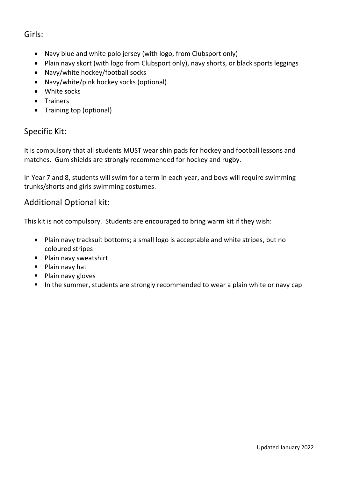# Girls:

- Navy blue and white polo jersey (with logo, from Clubsport only)
- Plain navy skort (with logo from Clubsport only), navy shorts, or black sports leggings
- Navy/white hockey/football socks
- Navy/white/pink hockey socks (optional)
- White socks
- Trainers
- Training top (optional)

## Specific Kit:

It is compulsory that all students MUST wear shin pads for hockey and football lessons and matches. Gum shields are strongly recommended for hockey and rugby.

In Year 7 and 8, students will swim for a term in each year, and boys will require swimming trunks/shorts and girls swimming costumes.

## Additional Optional kit:

This kit is not compulsory. Students are encouraged to bring warm kit if they wish:

- Plain navy tracksuit bottoms; a small logo is acceptable and white stripes, but no coloured stripes
- **Plain navy sweatshirt**
- **Plain navy hat**
- Plain navy gloves
- In the summer, students are strongly recommended to wear a plain white or navy cap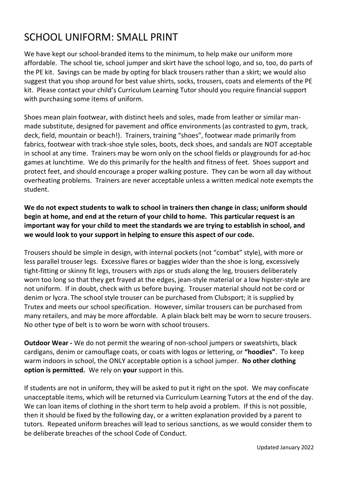# SCHOOL UNIFORM: SMALL PRINT

We have kept our school-branded items to the minimum, to help make our uniform more affordable. The school tie, school jumper and skirt have the school logo, and so, too, do parts of the PE kit. Savings can be made by opting for black trousers rather than a skirt; we would also suggest that you shop around for best value shirts, socks, trousers, coats and elements of the PE kit. Please contact your child's Curriculum Learning Tutor should you require financial support with purchasing some items of uniform.

Shoes mean plain footwear, with distinct heels and soles, made from leather or similar manmade substitute, designed for pavement and office environments (as contrasted to gym, track, deck, field, mountain or beach!). Trainers, training "shoes", footwear made primarily from fabrics, footwear with track-shoe style soles, boots, deck shoes, and sandals are NOT acceptable in school at any time. Trainers may be worn only on the school fields or playgrounds for ad-hoc games at lunchtime. We do this primarily for the health and fitness of feet. Shoes support and protect feet, and should encourage a proper walking posture. They can be worn all day without overheating problems. Trainers are never acceptable unless a written medical note exempts the student.

**We do not expect students to walk to school in trainers then change in class; uniform should begin at home, and end at the return of your child to home. This particular request is an important way for your child to meet the standards we are trying to establish in school, and we would look to your support in helping to ensure this aspect of our code.**

Trousers should be simple in design, with internal pockets (not "combat" style), with more or less parallel trouser legs. Excessive flares or baggies wider than the shoe is long, excessively tight-fitting or skinny fit legs, trousers with zips or studs along the leg, trousers deliberately worn too long so that they get frayed at the edges, jean-style material or a low hipster-style are not uniform. If in doubt, check with us before buying. Trouser material should not be cord or denim or lycra. The school style trouser can be purchased from Clubsport; it is supplied by Trutex and meets our school specification. However, similar trousers can be purchased from many retailers, and may be more affordable. A plain black belt may be worn to secure trousers. No other type of belt is to worn be worn with school trousers.

**Outdoor Wear -** We do not permit the wearing of non-school jumpers or sweatshirts, black cardigans, denim or camouflage coats, or coats with logos or lettering, or **"hoodies"**. To keep warm indoors in school, the ONLY acceptable option is a school jumper. **No other clothing option is permitted.** We rely on **your** support in this.

If students are not in uniform, they will be asked to put it right on the spot. We may confiscate unacceptable items, which will be returned via Curriculum Learning Tutors at the end of the day. We can loan items of clothing in the short term to help avoid a problem. If this is not possible, then it should be fixed by the following day, or a written explanation provided by a parent to tutors. Repeated uniform breaches will lead to serious sanctions, as we would consider them to be deliberate breaches of the school Code of Conduct.